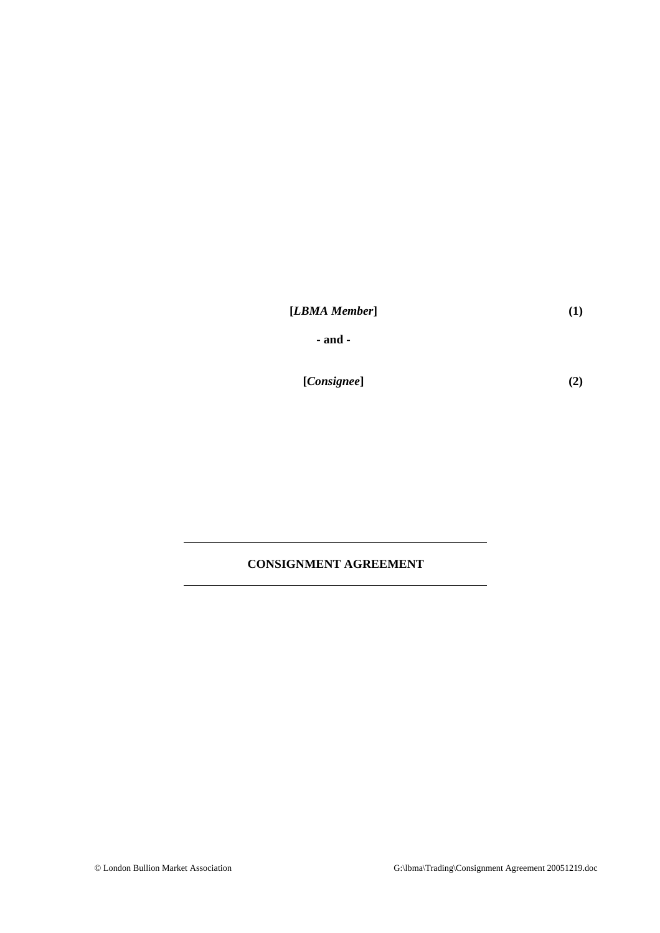|  | [LBMA Member] |
|--|---------------|
|--|---------------|

**- and -** 

**[***Consignee***]**

**(2)** 

# **CONSIGNMENT AGREEMENT**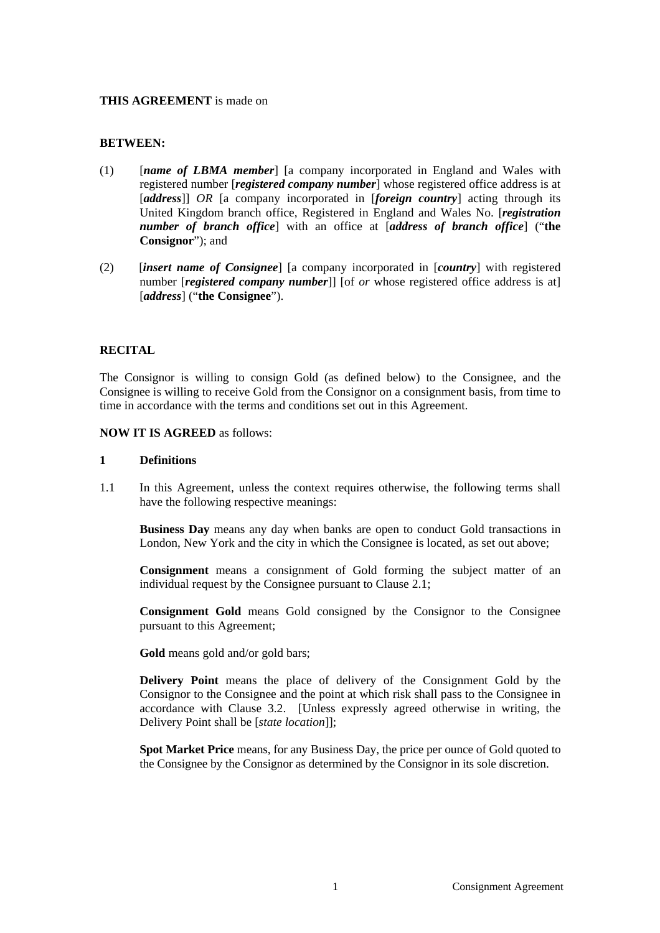#### **THIS AGREEMENT** is made on

#### **BETWEEN:**

- (1) [*name of LBMA member*] [a company incorporated in England and Wales with registered number [*registered company number*] whose registered office address is at [*address*]] *OR* [a company incorporated in [*foreign country*] acting through its United Kingdom branch office, Registered in England and Wales No. [*registration number of branch office*] with an office at [*address of branch office*] ("**the Consignor**"); and
- (2) [*insert name of Consignee*] [a company incorporated in [*country*] with registered number *[registered company number]*] [of *or* whose registered office address is at] [*address*] ("**the Consignee**").

### **RECITAL**

The Consignor is willing to consign Gold (as defined below) to the Consignee, and the Consignee is willing to receive Gold from the Consignor on a consignment basis, from time to time in accordance with the terms and conditions set out in this Agreement.

#### **NOW IT IS AGREED** as follows:

#### **1 Definitions**

1.1 In this Agreement, unless the context requires otherwise, the following terms shall have the following respective meanings:

 **Business Day** means any day when banks are open to conduct Gold transactions in London, New York and the city in which the Consignee is located, as set out above;

 **Consignment** means a consignment of Gold forming the subject matter of an individual request by the Consignee pursuant to Clause 2.1;

**Consignment Gold** means Gold consigned by the Consignor to the Consignee pursuant to this Agreement;

**Gold** means gold and/or gold bars;

**Delivery Point** means the place of delivery of the Consignment Gold by the Consignor to the Consignee and the point at which risk shall pass to the Consignee in accordance with Clause 3.2. [Unless expressly agreed otherwise in writing, the Delivery Point shall be [*state location*]];

**Spot Market Price** means, for any Business Day, the price per ounce of Gold quoted to the Consignee by the Consignor as determined by the Consignor in its sole discretion.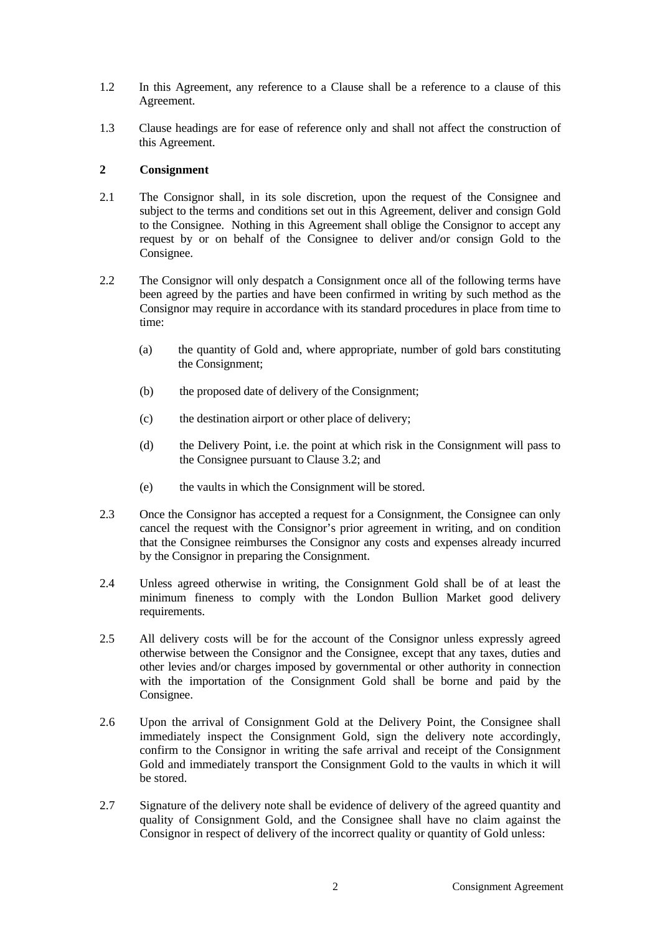- 1.2 In this Agreement, any reference to a Clause shall be a reference to a clause of this Agreement.
- 1.3 Clause headings are for ease of reference only and shall not affect the construction of this Agreement.

### **2 Consignment**

- 2.1 The Consignor shall, in its sole discretion, upon the request of the Consignee and subject to the terms and conditions set out in this Agreement, deliver and consign Gold to the Consignee. Nothing in this Agreement shall oblige the Consignor to accept any request by or on behalf of the Consignee to deliver and/or consign Gold to the Consignee.
- 2.2 The Consignor will only despatch a Consignment once all of the following terms have been agreed by the parties and have been confirmed in writing by such method as the Consignor may require in accordance with its standard procedures in place from time to time:
	- (a) the quantity of Gold and, where appropriate, number of gold bars constituting the Consignment;
	- (b) the proposed date of delivery of the Consignment;
	- (c) the destination airport or other place of delivery;
	- (d) the Delivery Point, i.e. the point at which risk in the Consignment will pass to the Consignee pursuant to Clause 3.2; and
	- (e) the vaults in which the Consignment will be stored.
- 2.3 Once the Consignor has accepted a request for a Consignment, the Consignee can only cancel the request with the Consignor's prior agreement in writing, and on condition that the Consignee reimburses the Consignor any costs and expenses already incurred by the Consignor in preparing the Consignment.
- 2.4 Unless agreed otherwise in writing, the Consignment Gold shall be of at least the minimum fineness to comply with the London Bullion Market good delivery requirements.
- 2.5 All delivery costs will be for the account of the Consignor unless expressly agreed otherwise between the Consignor and the Consignee, except that any taxes, duties and other levies and/or charges imposed by governmental or other authority in connection with the importation of the Consignment Gold shall be borne and paid by the Consignee.
- 2.6 Upon the arrival of Consignment Gold at the Delivery Point, the Consignee shall immediately inspect the Consignment Gold, sign the delivery note accordingly, confirm to the Consignor in writing the safe arrival and receipt of the Consignment Gold and immediately transport the Consignment Gold to the vaults in which it will be stored.
- 2.7 Signature of the delivery note shall be evidence of delivery of the agreed quantity and quality of Consignment Gold, and the Consignee shall have no claim against the Consignor in respect of delivery of the incorrect quality or quantity of Gold unless: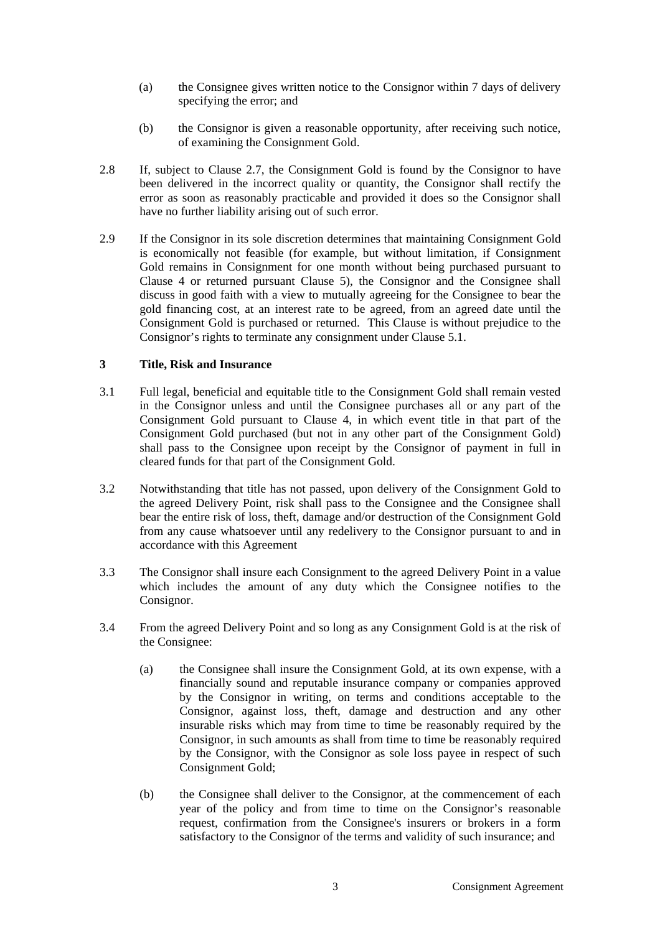- (a) the Consignee gives written notice to the Consignor within 7 days of delivery specifying the error; and
- (b) the Consignor is given a reasonable opportunity, after receiving such notice, of examining the Consignment Gold.
- 2.8 If, subject to Clause 2.7, the Consignment Gold is found by the Consignor to have been delivered in the incorrect quality or quantity, the Consignor shall rectify the error as soon as reasonably practicable and provided it does so the Consignor shall have no further liability arising out of such error.
- 2.9 If the Consignor in its sole discretion determines that maintaining Consignment Gold is economically not feasible (for example, but without limitation, if Consignment Gold remains in Consignment for one month without being purchased pursuant to Clause 4 or returned pursuant Clause 5), the Consignor and the Consignee shall discuss in good faith with a view to mutually agreeing for the Consignee to bear the gold financing cost, at an interest rate to be agreed, from an agreed date until the Consignment Gold is purchased or returned. This Clause is without prejudice to the Consignor's rights to terminate any consignment under Clause 5.1.

### **3 Title, Risk and Insurance**

- 3.1 Full legal, beneficial and equitable title to the Consignment Gold shall remain vested in the Consignor unless and until the Consignee purchases all or any part of the Consignment Gold pursuant to Clause 4, in which event title in that part of the Consignment Gold purchased (but not in any other part of the Consignment Gold) shall pass to the Consignee upon receipt by the Consignor of payment in full in cleared funds for that part of the Consignment Gold.
- 3.2 Notwithstanding that title has not passed, upon delivery of the Consignment Gold to the agreed Delivery Point, risk shall pass to the Consignee and the Consignee shall bear the entire risk of loss, theft, damage and/or destruction of the Consignment Gold from any cause whatsoever until any redelivery to the Consignor pursuant to and in accordance with this Agreement
- 3.3 The Consignor shall insure each Consignment to the agreed Delivery Point in a value which includes the amount of any duty which the Consignee notifies to the Consignor.
- 3.4 From the agreed Delivery Point and so long as any Consignment Gold is at the risk of the Consignee:
	- (a) the Consignee shall insure the Consignment Gold, at its own expense, with a financially sound and reputable insurance company or companies approved by the Consignor in writing, on terms and conditions acceptable to the Consignor, against loss, theft, damage and destruction and any other insurable risks which may from time to time be reasonably required by the Consignor, in such amounts as shall from time to time be reasonably required by the Consignor, with the Consignor as sole loss payee in respect of such Consignment Gold;
	- (b) the Consignee shall deliver to the Consignor, at the commencement of each year of the policy and from time to time on the Consignor's reasonable request, confirmation from the Consignee's insurers or brokers in a form satisfactory to the Consignor of the terms and validity of such insurance; and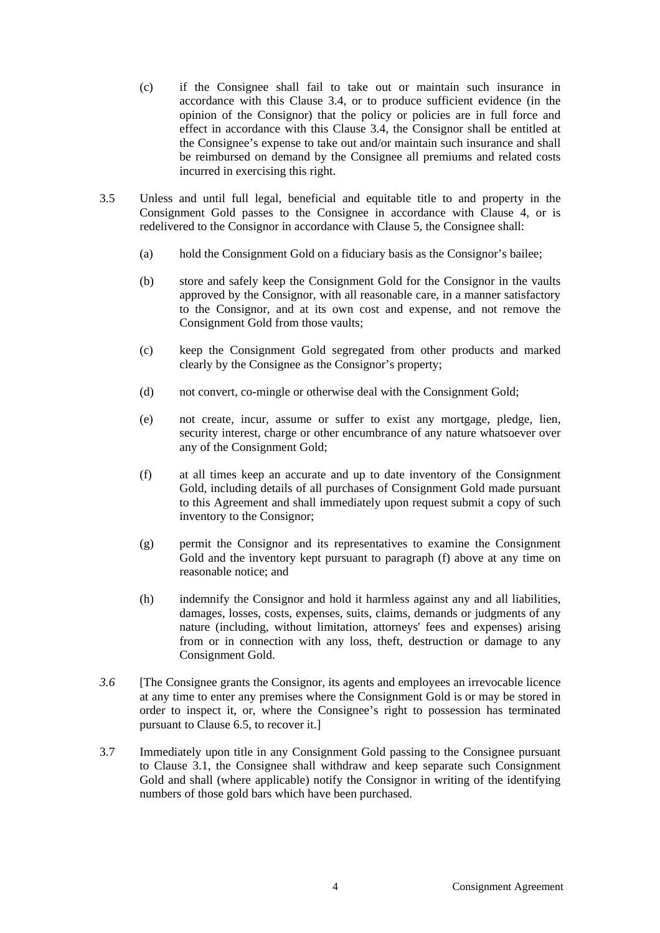- (c) if the Consignee shall fail to take out or maintain such insurance in accordance with this Clause 3.4, or to produce sufficient evidence (in the opinion of the Consignor) that the policy or policies are in full force and effect in accordance with this Clause 3.4, the Consignor shall be entitled at the Consignee's expense to take out and/or maintain such insurance and shall be reimbursed on demand by the Consignee all premiums and related costs incurred in exercising this right.
- 3.5 Unless and until full legal, beneficial and equitable title to and property in the Consignment Gold passes to the Consignee in accordance with Clause 4, or is redelivered to the Consignor in accordance with Clause 5, the Consignee shall:
	- (a) hold the Consignment Gold on a fiduciary basis as the Consignor's bailee;
	- (b) store and safely keep the Consignment Gold for the Consignor in the vaults approved by the Consignor, with all reasonable care, in a manner satisfactory to the Consignor, and at its own cost and expense, and not remove the Consignment Gold from those vaults;
	- (c) keep the Consignment Gold segregated from other products and marked clearly by the Consignee as the Consignor's property;
	- (d) not convert, co-mingle or otherwise deal with the Consignment Gold;
	- (e) not create, incur, assume or suffer to exist any mortgage, pledge, lien, security interest, charge or other encumbrance of any nature whatsoever over any of the Consignment Gold;
	- (f) at all times keep an accurate and up to date inventory of the Consignment Gold, including details of all purchases of Consignment Gold made pursuant to this Agreement and shall immediately upon request submit a copy of such inventory to the Consignor;
	- (g) permit the Consignor and its representatives to examine the Consignment Gold and the inventory kept pursuant to paragraph (f) above at any time on reasonable notice; and
	- (h) indemnify the Consignor and hold it harmless against any and all liabilities, damages, losses, costs, expenses, suits, claims, demands or judgments of any nature (including, without limitation, attorneys' fees and expenses) arising from or in connection with any loss, theft, destruction or damage to any Consignment Gold.
- *3.6* [The Consignee grants the Consignor, its agents and employees an irrevocable licence at any time to enter any premises where the Consignment Gold is or may be stored in order to inspect it, or, where the Consignee's right to possession has terminated pursuant to Clause 6.5, to recover it.]
- 3.7 Immediately upon title in any Consignment Gold passing to the Consignee pursuant to Clause 3.1, the Consignee shall withdraw and keep separate such Consignment Gold and shall (where applicable) notify the Consignor in writing of the identifying numbers of those gold bars which have been purchased.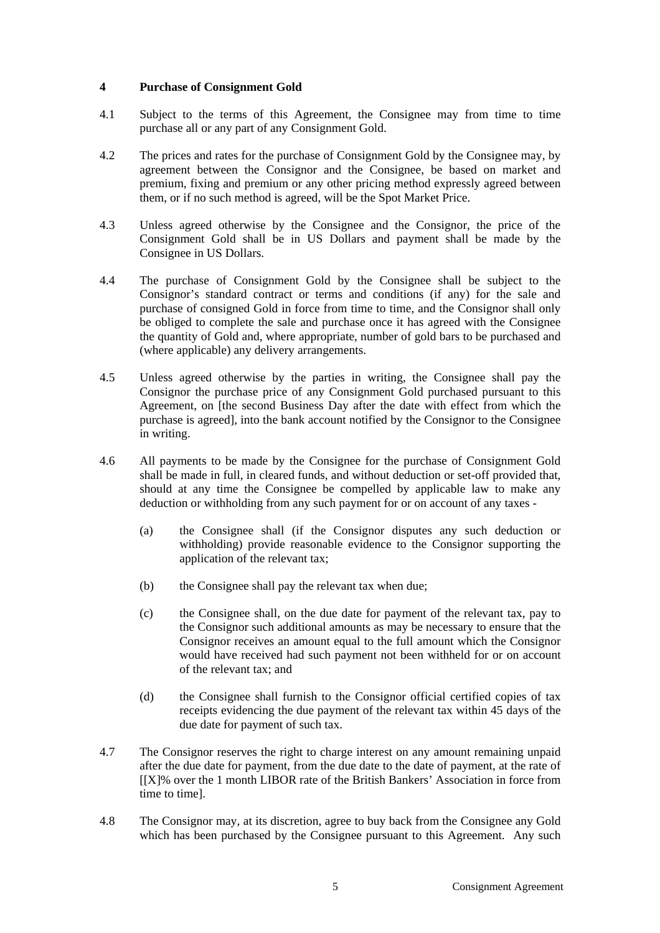## **4 Purchase of Consignment Gold**

- 4.1 Subject to the terms of this Agreement, the Consignee may from time to time purchase all or any part of any Consignment Gold.
- 4.2 The prices and rates for the purchase of Consignment Gold by the Consignee may, by agreement between the Consignor and the Consignee, be based on market and premium, fixing and premium or any other pricing method expressly agreed between them, or if no such method is agreed, will be the Spot Market Price.
- 4.3 Unless agreed otherwise by the Consignee and the Consignor, the price of the Consignment Gold shall be in US Dollars and payment shall be made by the Consignee in US Dollars.
- 4.4 The purchase of Consignment Gold by the Consignee shall be subject to the Consignor's standard contract or terms and conditions (if any) for the sale and purchase of consigned Gold in force from time to time, and the Consignor shall only be obliged to complete the sale and purchase once it has agreed with the Consignee the quantity of Gold and, where appropriate, number of gold bars to be purchased and (where applicable) any delivery arrangements.
- 4.5 Unless agreed otherwise by the parties in writing, the Consignee shall pay the Consignor the purchase price of any Consignment Gold purchased pursuant to this Agreement, on [the second Business Day after the date with effect from which the purchase is agreed], into the bank account notified by the Consignor to the Consignee in writing.
- 4.6 All payments to be made by the Consignee for the purchase of Consignment Gold shall be made in full, in cleared funds, and without deduction or set-off provided that, should at any time the Consignee be compelled by applicable law to make any deduction or withholding from any such payment for or on account of any taxes -
	- (a) the Consignee shall (if the Consignor disputes any such deduction or withholding) provide reasonable evidence to the Consignor supporting the application of the relevant tax;
	- (b) the Consignee shall pay the relevant tax when due;
	- (c) the Consignee shall, on the due date for payment of the relevant tax, pay to the Consignor such additional amounts as may be necessary to ensure that the Consignor receives an amount equal to the full amount which the Consignor would have received had such payment not been withheld for or on account of the relevant tax; and
	- (d) the Consignee shall furnish to the Consignor official certified copies of tax receipts evidencing the due payment of the relevant tax within 45 days of the due date for payment of such tax.
- 4.7 The Consignor reserves the right to charge interest on any amount remaining unpaid after the due date for payment, from the due date to the date of payment, at the rate of [[X]% over the 1 month LIBOR rate of the British Bankers' Association in force from time to time].
- 4.8 The Consignor may, at its discretion, agree to buy back from the Consignee any Gold which has been purchased by the Consignee pursuant to this Agreement. Any such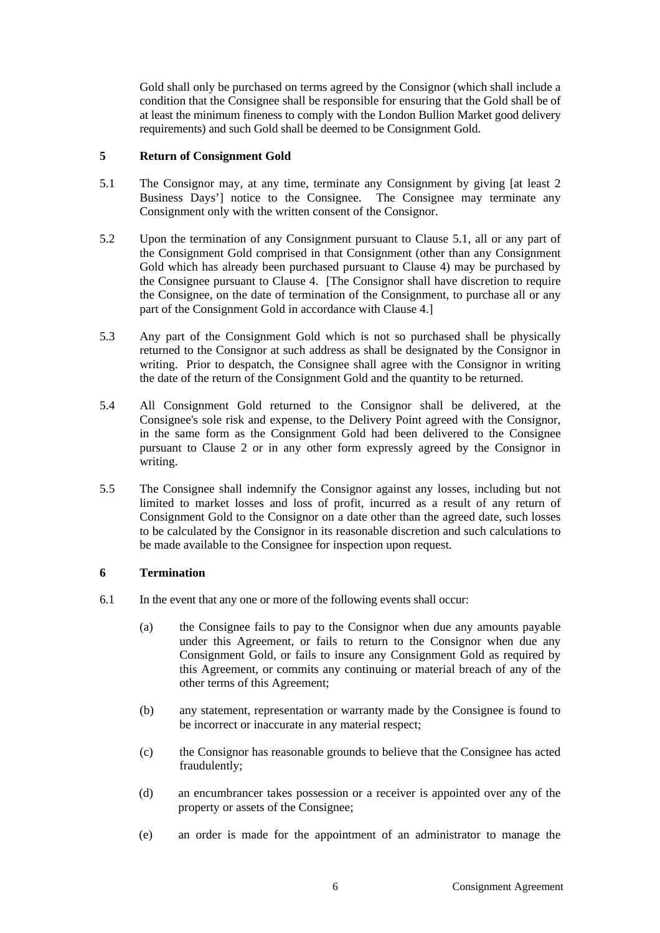Gold shall only be purchased on terms agreed by the Consignor (which shall include a condition that the Consignee shall be responsible for ensuring that the Gold shall be of at least the minimum fineness to comply with the London Bullion Market good delivery requirements) and such Gold shall be deemed to be Consignment Gold.

## **5 Return of Consignment Gold**

- 5.1 The Consignor may, at any time, terminate any Consignment by giving [at least 2 Business Days'] notice to the Consignee. The Consignee may terminate any Consignment only with the written consent of the Consignor.
- 5.2 Upon the termination of any Consignment pursuant to Clause 5.1, all or any part of the Consignment Gold comprised in that Consignment (other than any Consignment Gold which has already been purchased pursuant to Clause 4) may be purchased by the Consignee pursuant to Clause 4. [The Consignor shall have discretion to require the Consignee, on the date of termination of the Consignment, to purchase all or any part of the Consignment Gold in accordance with Clause 4.]
- 5.3 Any part of the Consignment Gold which is not so purchased shall be physically returned to the Consignor at such address as shall be designated by the Consignor in writing. Prior to despatch, the Consignee shall agree with the Consignor in writing the date of the return of the Consignment Gold and the quantity to be returned.
- 5.4 All Consignment Gold returned to the Consignor shall be delivered, at the Consignee's sole risk and expense, to the Delivery Point agreed with the Consignor, in the same form as the Consignment Gold had been delivered to the Consignee pursuant to Clause 2 or in any other form expressly agreed by the Consignor in writing.
- 5.5 The Consignee shall indemnify the Consignor against any losses, including but not limited to market losses and loss of profit, incurred as a result of any return of Consignment Gold to the Consignor on a date other than the agreed date, such losses to be calculated by the Consignor in its reasonable discretion and such calculations to be made available to the Consignee for inspection upon request.

# **6 Termination**

- 6.1 In the event that any one or more of the following events shall occur:
	- (a) the Consignee fails to pay to the Consignor when due any amounts payable under this Agreement, or fails to return to the Consignor when due any Consignment Gold, or fails to insure any Consignment Gold as required by this Agreement, or commits any continuing or material breach of any of the other terms of this Agreement;
	- (b) any statement, representation or warranty made by the Consignee is found to be incorrect or inaccurate in any material respect;
	- (c) the Consignor has reasonable grounds to believe that the Consignee has acted fraudulently;
	- (d) an encumbrancer takes possession or a receiver is appointed over any of the property or assets of the Consignee;
	- (e) an order is made for the appointment of an administrator to manage the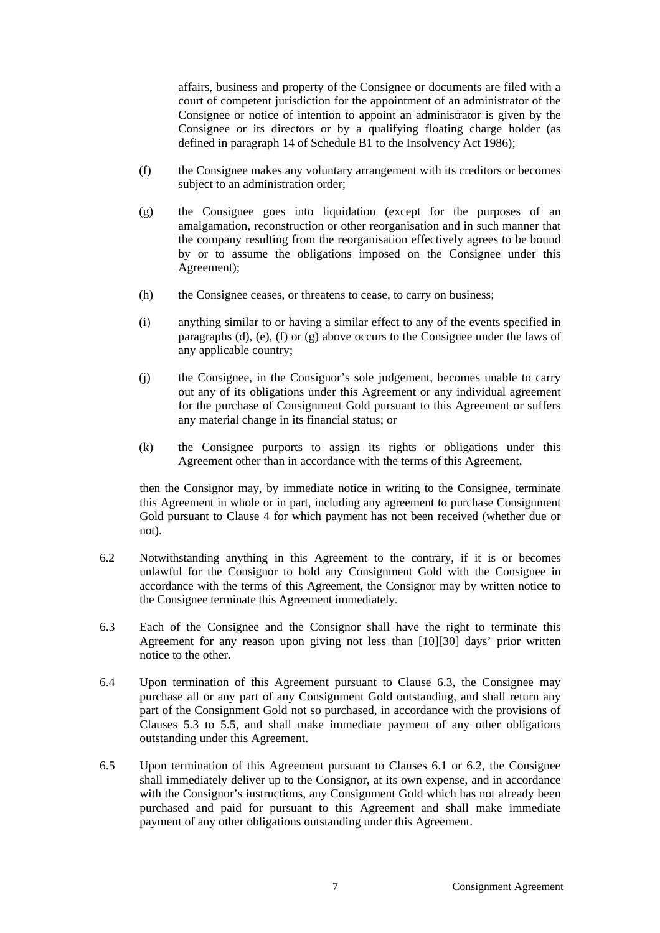affairs, business and property of the Consignee or documents are filed with a court of competent jurisdiction for the appointment of an administrator of the Consignee or notice of intention to appoint an administrator is given by the Consignee or its directors or by a qualifying floating charge holder (as defined in paragraph 14 of Schedule B1 to the Insolvency Act 1986);

- (f) the Consignee makes any voluntary arrangement with its creditors or becomes subject to an administration order;
- (g) the Consignee goes into liquidation (except for the purposes of an amalgamation, reconstruction or other reorganisation and in such manner that the company resulting from the reorganisation effectively agrees to be bound by or to assume the obligations imposed on the Consignee under this Agreement);
- (h) the Consignee ceases, or threatens to cease, to carry on business;
- (i) anything similar to or having a similar effect to any of the events specified in paragraphs (d), (e), (f) or (g) above occurs to the Consignee under the laws of any applicable country;
- (j) the Consignee, in the Consignor's sole judgement, becomes unable to carry out any of its obligations under this Agreement or any individual agreement for the purchase of Consignment Gold pursuant to this Agreement or suffers any material change in its financial status; or
- (k) the Consignee purports to assign its rights or obligations under this Agreement other than in accordance with the terms of this Agreement,

 then the Consignor may, by immediate notice in writing to the Consignee, terminate this Agreement in whole or in part, including any agreement to purchase Consignment Gold pursuant to Clause 4 for which payment has not been received (whether due or not).

- 6.2 Notwithstanding anything in this Agreement to the contrary, if it is or becomes unlawful for the Consignor to hold any Consignment Gold with the Consignee in accordance with the terms of this Agreement, the Consignor may by written notice to the Consignee terminate this Agreement immediately.
- 6.3 Each of the Consignee and the Consignor shall have the right to terminate this Agreement for any reason upon giving not less than [10][30] days' prior written notice to the other.
- 6.4 Upon termination of this Agreement pursuant to Clause 6.3, the Consignee may purchase all or any part of any Consignment Gold outstanding, and shall return any part of the Consignment Gold not so purchased, in accordance with the provisions of Clauses 5.3 to 5.5, and shall make immediate payment of any other obligations outstanding under this Agreement.
- 6.5 Upon termination of this Agreement pursuant to Clauses 6.1 or 6.2, the Consignee shall immediately deliver up to the Consignor, at its own expense, and in accordance with the Consignor's instructions, any Consignment Gold which has not already been purchased and paid for pursuant to this Agreement and shall make immediate payment of any other obligations outstanding under this Agreement.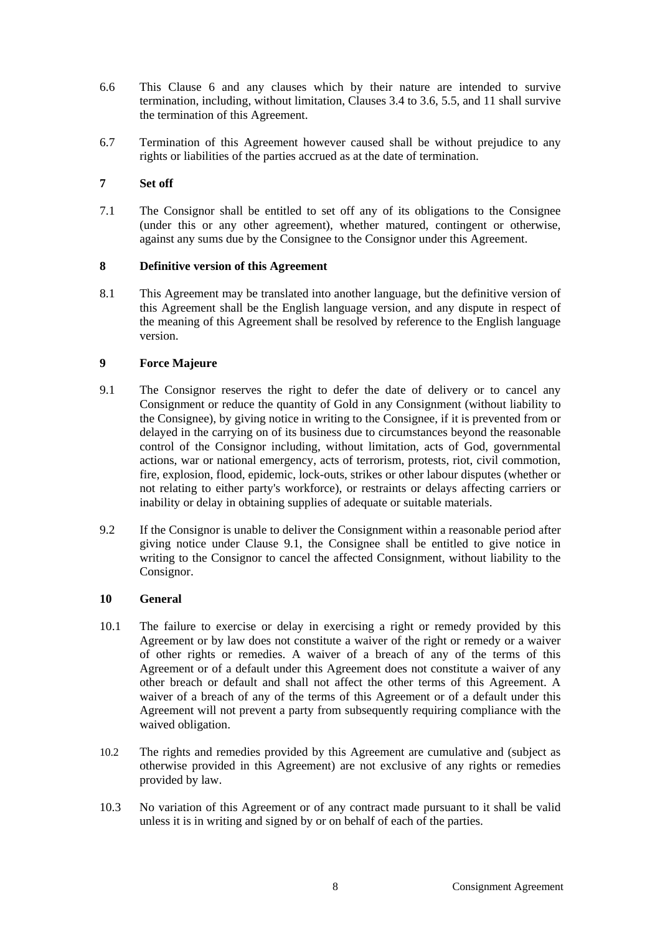- 6.6 This Clause 6 and any clauses which by their nature are intended to survive termination, including, without limitation, Clauses 3.4 to 3.6, 5.5, and 11 shall survive the termination of this Agreement.
- 6.7 Termination of this Agreement however caused shall be without prejudice to any rights or liabilities of the parties accrued as at the date of termination.

## **7 Set off**

7.1 The Consignor shall be entitled to set off any of its obligations to the Consignee (under this or any other agreement), whether matured, contingent or otherwise, against any sums due by the Consignee to the Consignor under this Agreement.

### **8 Definitive version of this Agreement**

8.1 This Agreement may be translated into another language, but the definitive version of this Agreement shall be the English language version, and any dispute in respect of the meaning of this Agreement shall be resolved by reference to the English language version.

# **9 Force Majeure**

- 9.1 The Consignor reserves the right to defer the date of delivery or to cancel any Consignment or reduce the quantity of Gold in any Consignment (without liability to the Consignee), by giving notice in writing to the Consignee, if it is prevented from or delayed in the carrying on of its business due to circumstances beyond the reasonable control of the Consignor including, without limitation, acts of God, governmental actions, war or national emergency, acts of terrorism, protests, riot, civil commotion, fire, explosion, flood, epidemic, lock-outs, strikes or other labour disputes (whether or not relating to either party's workforce), or restraints or delays affecting carriers or inability or delay in obtaining supplies of adequate or suitable materials.
- 9.2 If the Consignor is unable to deliver the Consignment within a reasonable period after giving notice under Clause 9.1, the Consignee shall be entitled to give notice in writing to the Consignor to cancel the affected Consignment, without liability to the Consignor.

### **10 General**

- 10.1 The failure to exercise or delay in exercising a right or remedy provided by this Agreement or by law does not constitute a waiver of the right or remedy or a waiver of other rights or remedies. A waiver of a breach of any of the terms of this Agreement or of a default under this Agreement does not constitute a waiver of any other breach or default and shall not affect the other terms of this Agreement. A waiver of a breach of any of the terms of this Agreement or of a default under this Agreement will not prevent a party from subsequently requiring compliance with the waived obligation.
- 10.2 The rights and remedies provided by this Agreement are cumulative and (subject as otherwise provided in this Agreement) are not exclusive of any rights or remedies provided by law.
- 10.3 No variation of this Agreement or of any contract made pursuant to it shall be valid unless it is in writing and signed by or on behalf of each of the parties.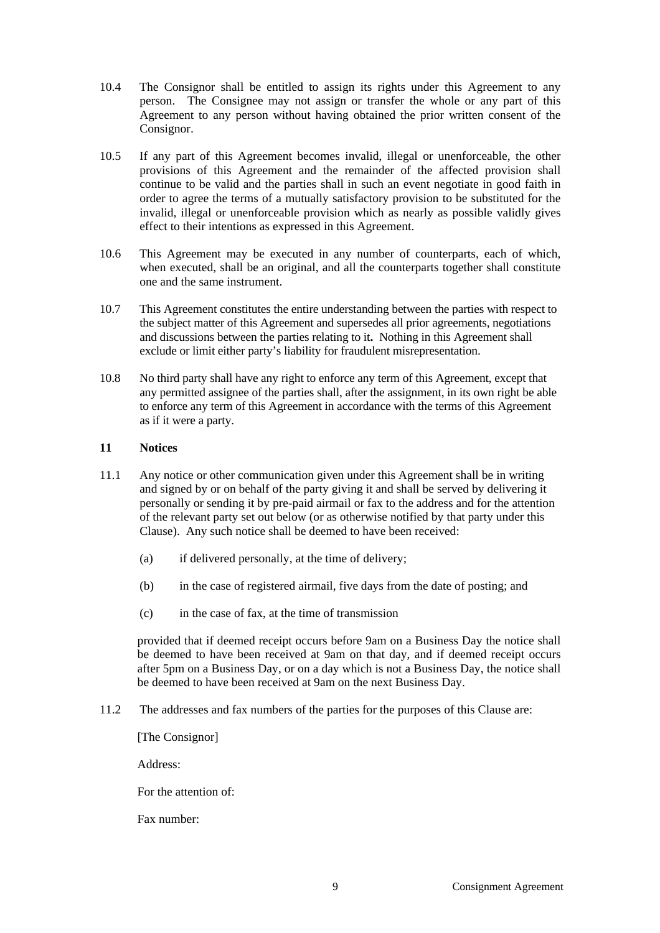- 10.4 The Consignor shall be entitled to assign its rights under this Agreement to any person. The Consignee may not assign or transfer the whole or any part of this Agreement to any person without having obtained the prior written consent of the Consignor.
- 10.5 If any part of this Agreement becomes invalid, illegal or unenforceable, the other provisions of this Agreement and the remainder of the affected provision shall continue to be valid and the parties shall in such an event negotiate in good faith in order to agree the terms of a mutually satisfactory provision to be substituted for the invalid, illegal or unenforceable provision which as nearly as possible validly gives effect to their intentions as expressed in this Agreement.
- 10.6 This Agreement may be executed in any number of counterparts, each of which, when executed, shall be an original, and all the counterparts together shall constitute one and the same instrument.
- 10.7 This Agreement constitutes the entire understanding between the parties with respect to the subject matter of this Agreement and supersedes all prior agreements, negotiations and discussions between the parties relating to it**.** Nothing in this Agreement shall exclude or limit either party's liability for fraudulent misrepresentation.
- 10.8 No third party shall have any right to enforce any term of this Agreement, except that any permitted assignee of the parties shall, after the assignment, in its own right be able to enforce any term of this Agreement in accordance with the terms of this Agreement as if it were a party.

### **11 Notices**

- 11.1 Any notice or other communication given under this Agreement shall be in writing and signed by or on behalf of the party giving it and shall be served by delivering it personally or sending it by pre-paid airmail or fax to the address and for the attention of the relevant party set out below (or as otherwise notified by that party under this Clause). Any such notice shall be deemed to have been received:
	- (a) if delivered personally, at the time of delivery;
	- (b) in the case of registered airmail, five days from the date of posting; and
	- (c) in the case of fax, at the time of transmission

provided that if deemed receipt occurs before 9am on a Business Day the notice shall be deemed to have been received at 9am on that day, and if deemed receipt occurs after 5pm on a Business Day, or on a day which is not a Business Day, the notice shall be deemed to have been received at 9am on the next Business Day.

11.2 The addresses and fax numbers of the parties for the purposes of this Clause are:

[The Consignor]

Address:

For the attention of:

Fax number: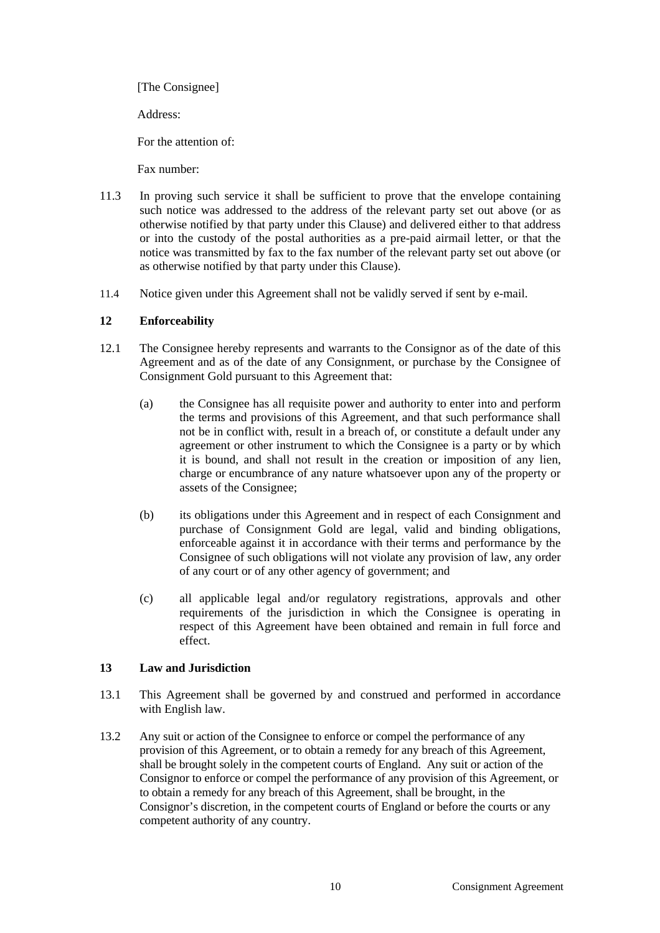[The Consignee]

Address:

For the attention of:

Fax number:

- 11.3 In proving such service it shall be sufficient to prove that the envelope containing such notice was addressed to the address of the relevant party set out above (or as otherwise notified by that party under this Clause) and delivered either to that address or into the custody of the postal authorities as a pre-paid airmail letter, or that the notice was transmitted by fax to the fax number of the relevant party set out above (or as otherwise notified by that party under this Clause).
- 11.4 Notice given under this Agreement shall not be validly served if sent by e-mail.

# **12 Enforceability**

- 12.1 The Consignee hereby represents and warrants to the Consignor as of the date of this Agreement and as of the date of any Consignment, or purchase by the Consignee of Consignment Gold pursuant to this Agreement that:
	- (a) the Consignee has all requisite power and authority to enter into and perform the terms and provisions of this Agreement, and that such performance shall not be in conflict with, result in a breach of, or constitute a default under any agreement or other instrument to which the Consignee is a party or by which it is bound, and shall not result in the creation or imposition of any lien, charge or encumbrance of any nature whatsoever upon any of the property or assets of the Consignee;
	- (b) its obligations under this Agreement and in respect of each Consignment and purchase of Consignment Gold are legal, valid and binding obligations, enforceable against it in accordance with their terms and performance by the Consignee of such obligations will not violate any provision of law, any order of any court or of any other agency of government; and
	- (c) all applicable legal and/or regulatory registrations, approvals and other requirements of the jurisdiction in which the Consignee is operating in respect of this Agreement have been obtained and remain in full force and effect.

# **13 Law and Jurisdiction**

- 13.1 This Agreement shall be governed by and construed and performed in accordance with English law.
- 13.2 Any suit or action of the Consignee to enforce or compel the performance of any provision of this Agreement, or to obtain a remedy for any breach of this Agreement, shall be brought solely in the competent courts of England. Any suit or action of the Consignor to enforce or compel the performance of any provision of this Agreement, or to obtain a remedy for any breach of this Agreement, shall be brought, in the Consignor's discretion, in the competent courts of England or before the courts or any competent authority of any country.